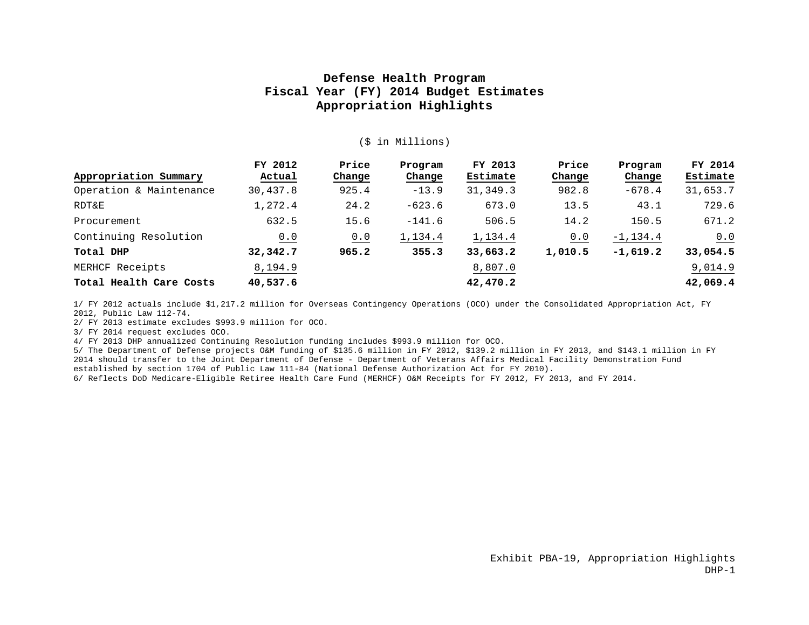#### (\$ in Millions)

|                         | FY 2012  | Price  | Program  | FY 2013   | Price   | Program     | FY 2014  |
|-------------------------|----------|--------|----------|-----------|---------|-------------|----------|
| Appropriation Summary   | Actual   | Change | Change   | Estimate  | Change  | Change      | Estimate |
| Operation & Maintenance | 30,437.8 | 925.4  | $-13.9$  | 31, 349.3 | 982.8   | $-678.4$    | 31,653.7 |
| RDT&E                   | 1,272.4  | 24.2   | $-623.6$ | 673.0     | 13.5    | 43.1        | 729.6    |
| Procurement             | 632.5    | 15.6   | $-141.6$ | 506.5     | 14.2    | 150.5       | 671.2    |
| Continuing Resolution   | 0.0      | 0.0    | 1,134.4  | 1,134.4   | 0.0     | $-1, 134.4$ | 0.0      |
| Total DHP               | 32,342.7 | 965.2  | 355.3    | 33,663.2  | 1,010.5 | $-1,619.2$  | 33,054.5 |
| MERHCF Receipts         | 8,194.9  |        |          | 8,807.0   |         |             | 9,014.9  |
| Total Health Care Costs | 40,537.6 |        |          | 42,470.2  |         |             | 42,069.4 |

1/ FY 2012 actuals include \$1,217.2 million for Overseas Contingency Operations (OCO) under the Consolidated Appropriation Act, FY 2012, Public Law 112-74.

2/ FY 2013 estimate excludes \$993.9 million for OCO.

3/ FY 2014 request excludes OCO.

4/ FY 2013 DHP annualized Continuing Resolution funding includes \$993.9 million for OCO.

5/ The Department of Defense projects O&M funding of \$135.6 million in FY 2012, \$139.2 million in FY 2013, and \$143.1 million in FY 2014 should transfer to the Joint Department of Defense - Department of Veterans Affairs Medical Facility Demonstration Fund established by section 1704 of Public Law 111-84 (National Defense Authorization Act for FY 2010).

6/ Reflects DoD Medicare-Eligible Retiree Health Care Fund (MERHCF) O&M Receipts for FY 2012, FY 2013, and FY 2014.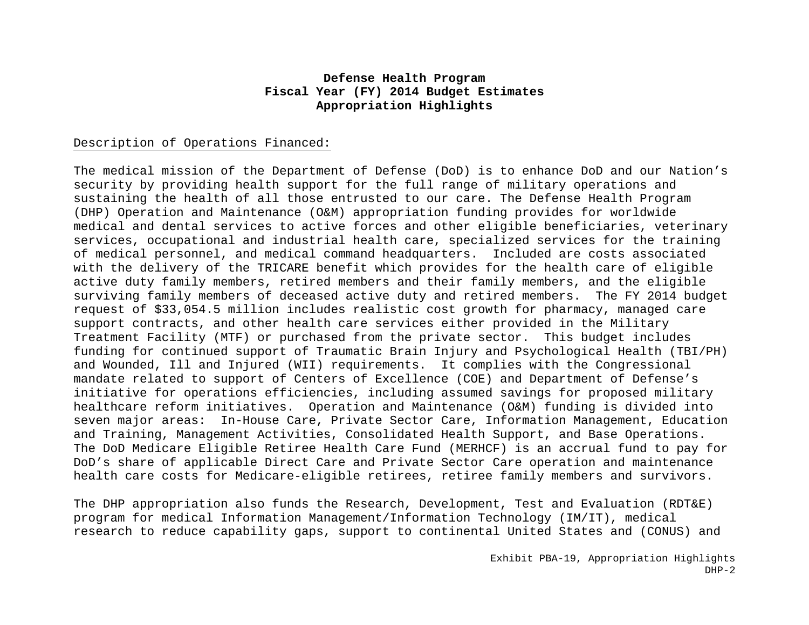#### Description of Operations Financed:

The medical mission of the Department of Defense (DoD) is to enhance DoD and our Nation's security by providing health support for the full range of military operations and sustaining the health of all those entrusted to our care. The Defense Health Program (DHP) Operation and Maintenance (O&M) appropriation funding provides for worldwide medical and dental services to active forces and other eligible beneficiaries, veterinary services, occupational and industrial health care, specialized services for the training of medical personnel, and medical command headquarters. Included are costs associated with the delivery of the TRICARE benefit which provides for the health care of eligible active duty family members, retired members and their family members, and the eligible surviving family members of deceased active duty and retired members. The FY 2014 budget request of \$33,054.5 million includes realistic cost growth for pharmacy, managed care support contracts, and other health care services either provided in the Military Treatment Facility (MTF) or purchased from the private sector. This budget includes funding for continued support of Traumatic Brain Injury and Psychological Health (TBI/PH) and Wounded, Ill and Injured (WII) requirements. It complies with the Congressional mandate related to support of Centers of Excellence (COE) and Department of Defense's initiative for operations efficiencies, including assumed savings for proposed military healthcare reform initiatives. Operation and Maintenance (O&M) funding is divided into seven major areas: In-House Care, Private Sector Care, Information Management, Education and Training, Management Activities, Consolidated Health Support, and Base Operations. The DoD Medicare Eligible Retiree Health Care Fund (MERHCF) is an accrual fund to pay for DoD's share of applicable Direct Care and Private Sector Care operation and maintenance health care costs for Medicare-eligible retirees, retiree family members and survivors.

The DHP appropriation also funds the Research, Development, Test and Evaluation (RDT&E) program for medical Information Management/Information Technology (IM/IT), medical research to reduce capability gaps, support to continental United States and (CONUS) and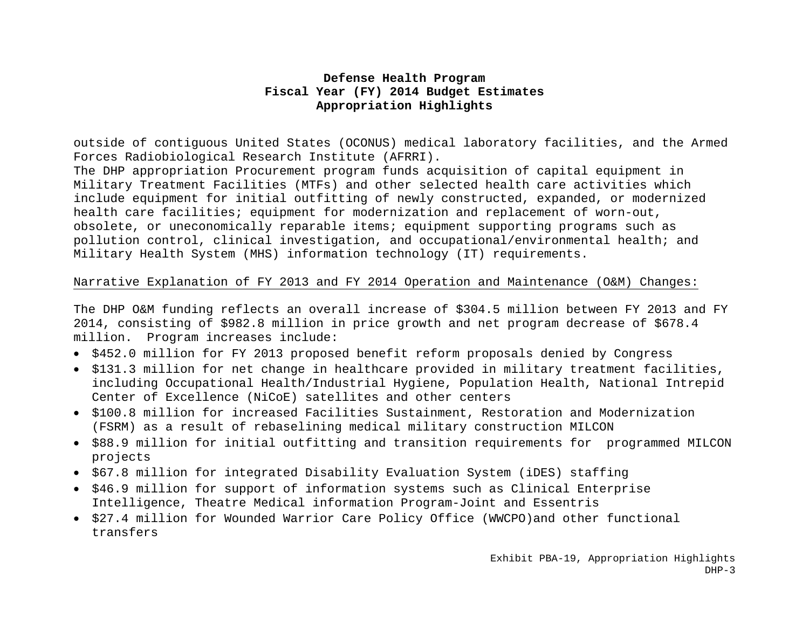outside of contiguous United States (OCONUS) medical laboratory facilities, and the Armed Forces Radiobiological Research Institute (AFRRI).

The DHP appropriation Procurement program funds acquisition of capital equipment in Military Treatment Facilities (MTFs) and other selected health care activities which include equipment for initial outfitting of newly constructed, expanded, or modernized health care facilities; equipment for modernization and replacement of worn-out, obsolete, or uneconomically reparable items; equipment supporting programs such as pollution control, clinical investigation, and occupational/environmental health; and Military Health System (MHS) information technology (IT) requirements.

#### Narrative Explanation of FY 2013 and FY 2014 Operation and Maintenance (O&M) Changes:

The DHP O&M funding reflects an overall increase of \$304.5 million between FY 2013 and FY 2014, consisting of \$982.8 million in price growth and net program decrease of \$678.4 million. Program increases include:

- \$452.0 million for FY 2013 proposed benefit reform proposals denied by Congress
- $\bullet$  \$131.3 million for net change in healthcare provided in military treatment facilities, including Occupational Health/Industrial Hygiene, Population Health, National Intrepid Center of Excellence (NiCoE) satellites and other centers
- \$100.8 million for increased Facilities Sustainment, Restoration and Modernization (FSRM) as a result of rebaselining medical military construction MILCON
- \$88.9 million for initial outfitting and transition requirements for programmed MILCON projects
- \$67.8 million for integrated Disability Evaluation System (iDES) staffing
- \$46.9 million for support of information systems such as Clinical Enterprise Intelligence, Theatre Medical information Program-Joint and Essentris
- \$27.4 million for Wounded Warrior Care Policy Office (WWCPO)and other functional transfers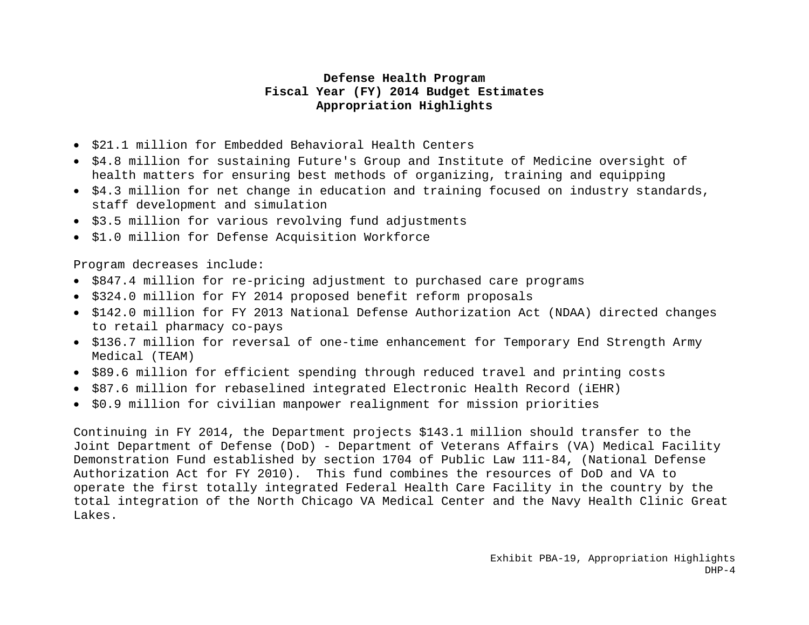- \$21.1 million for Embedded Behavioral Health Centers
- \$4.8 million for sustaining Future's Group and Institute of Medicine oversight of health matters for ensuring best methods of organizing, training and equipping
- \$4.3 million for net change in education and training focused on industry standards, staff development and simulation
- \$3.5 million for various revolving fund adjustments
- \$1.0 million for Defense Acquisition Workforce

Program decreases include:

- \$847.4 million for re-pricing adjustment to purchased care programs
- \$324.0 million for FY 2014 proposed benefit reform proposals
- \$142.0 million for FY 2013 National Defense Authorization Act (NDAA) directed changes to retail pharmacy co-pays
- \$136.7 million for reversal of one-time enhancement for Temporary End Strength Army Medical (TEAM)
- \$89.6 million for efficient spending through reduced travel and printing costs
- \$87.6 million for rebaselined integrated Electronic Health Record (iEHR)
- \$0.9 million for civilian manpower realignment for mission priorities

Continuing in FY 2014, the Department projects \$143.1 million should transfer to the Joint Department of Defense (DoD) - Department of Veterans Affairs (VA) Medical Facility Demonstration Fund established by section 1704 of Public Law 111-84, (National Defense Authorization Act for FY 2010). This fund combines the resources of DoD and VA to operate the first totally integrated Federal Health Care Facility in the country by the total integration of the North Chicago VA Medical Center and the Navy Health Clinic Great Lakes.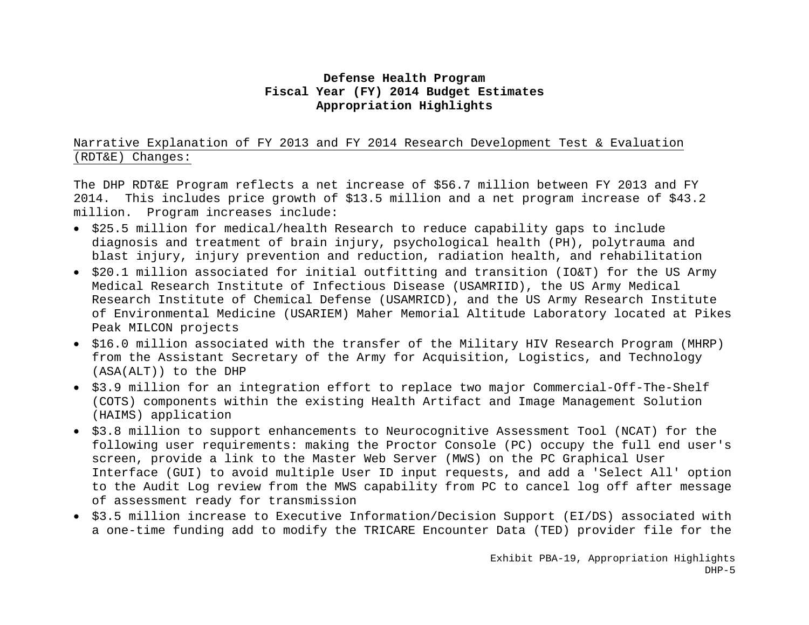# Narrative Explanation of FY 2013 and FY 2014 Research Development Test & Evaluation (RDT&E) Changes:

The DHP RDT&E Program reflects a net increase of \$56.7 million between FY 2013 and FY 2014. This includes price growth of \$13.5 million and a net program increase of \$43.2 million. Program increases include:

- \$25.5 million for medical/health Research to reduce capability gaps to include diagnosis and treatment of brain injury, psychological health (PH), polytrauma and blast injury, injury prevention and reduction, radiation health, and rehabilitation
- $\bullet$  \$20.1 million associated for initial outfitting and transition (IO&T) for the US Army Medical Research Institute of Infectious Disease (USAMRIID), the US Army Medical Research Institute of Chemical Defense (USAMRICD), and the US Army Research Institute of Environmental Medicine (USARIEM) Maher Memorial Altitude Laboratory located at Pikes Peak MILCON projects
- \$16.0 million associated with the transfer of the Military HIV Research Program (MHRP) from the Assistant Secretary of the Army for Acquisition, Logistics, and Technology (ASA(ALT)) to the DHP
- \$3.9 million for an integration effort to replace two major Commercial-Off-The-Shelf (COTS) components within the existing Health Artifact and Image Management Solution (HAIMS) application
- \$3.8 million to support enhancements to Neurocognitive Assessment Tool (NCAT) for the following user requirements: making the Proctor Console (PC) occupy the full end user's screen, provide a link to the Master Web Server (MWS) on the PC Graphical User Interface (GUI) to avoid multiple User ID input requests, and add a 'Select All' option to the Audit Log review from the MWS capability from PC to cancel log off after message of assessment ready for transmission
- \$3.5 million increase to Executive Information/Decision Support (EI/DS) associated with a one-time funding add to modify the TRICARE Encounter Data (TED) provider file for the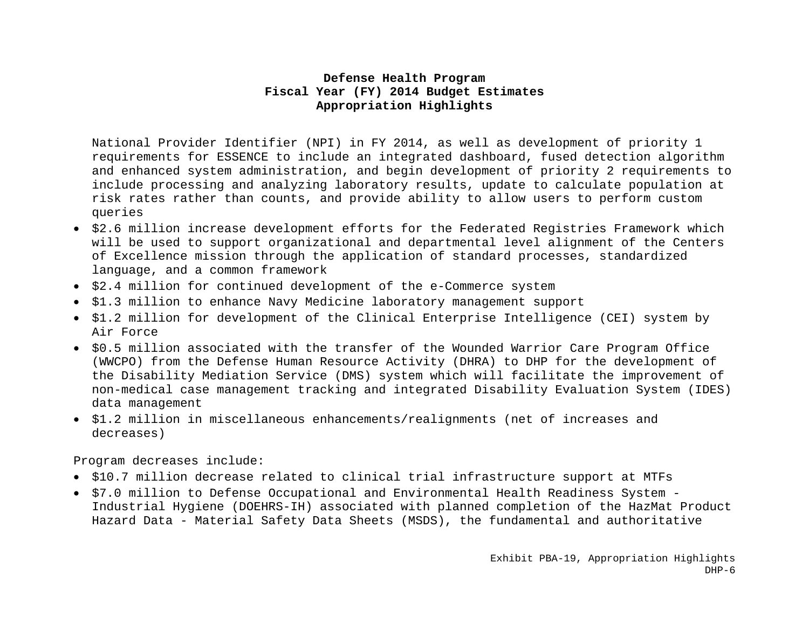National Provider Identifier (NPI) in FY 2014, as well as development of priority 1 requirements for ESSENCE to include an integrated dashboard, fused detection algorithm and enhanced system administration, and begin development of priority 2 requirements to include processing and analyzing laboratory results, update to calculate population at risk rates rather than counts, and provide ability to allow users to perform custom queries

- $\bullet$  \$2.6 million increase development efforts for the Federated Registries Framework which will be used to support organizational and departmental level alignment of the Centers of Excellence mission through the application of standard processes, standardized language, and a common framework
- \$2.4 million for continued development of the e-Commerce system
- \$1.3 million to enhance Navy Medicine laboratory management support
- \$1.2 million for development of the Clinical Enterprise Intelligence (CEI) system by Air Force
- \$0.5 million associated with the transfer of the Wounded Warrior Care Program Office (WWCPO) from the Defense Human Resource Activity (DHRA) to DHP for the development of the Disability Mediation Service (DMS) system which will facilitate the improvement of non-medical case management tracking and integrated Disability Evaluation System (IDES) data management
- \$1.2 million in miscellaneous enhancements/realignments (net of increases and decreases)

Program decreases include:

- \$10.7 million decrease related to clinical trial infrastructure support at MTFs
- \$7.0 million to Defense Occupational and Environmental Health Readiness System Industrial Hygiene (DOEHRS-IH) associated with planned completion of the HazMat Product Hazard Data - Material Safety Data Sheets (MSDS), the fundamental and authoritative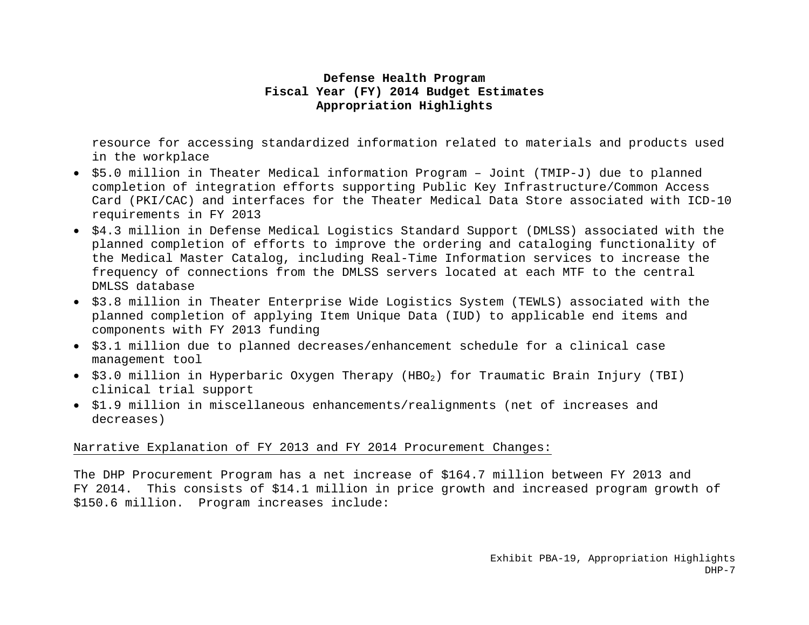resource for accessing standardized information related to materials and products used in the workplace

- \$5.0 million in Theater Medical information Program Joint (TMIP-J) due to planned completion of integration efforts supporting Public Key Infrastructure/Common Access Card (PKI/CAC) and interfaces for the Theater Medical Data Store associated with ICD-10 requirements in FY 2013
- \$4.3 million in Defense Medical Logistics Standard Support (DMLSS) associated with the planned completion of efforts to improve the ordering and cataloging functionality of the Medical Master Catalog, including Real-Time Information services to increase the frequency of connections from the DMLSS servers located at each MTF to the central DMLSS database
- \$3.8 million in Theater Enterprise Wide Logistics System (TEWLS) associated with the planned completion of applying Item Unique Data (IUD) to applicable end items and components with FY 2013 funding
- \$3.1 million due to planned decreases/enhancement schedule for a clinical case management tool
- $\bullet$  \$3.0 million in Hyperbaric Oxygen Therapy (HBO<sub>2</sub>) for Traumatic Brain Injury (TBI) clinical trial support
- \$1.9 million in miscellaneous enhancements/realignments (net of increases and decreases)

#### Narrative Explanation of FY 2013 and FY 2014 Procurement Changes:

The DHP Procurement Program has a net increase of \$164.7 million between FY 2013 and FY 2014. This consists of \$14.1 million in price growth and increased program growth of \$150.6 million. Program increases include: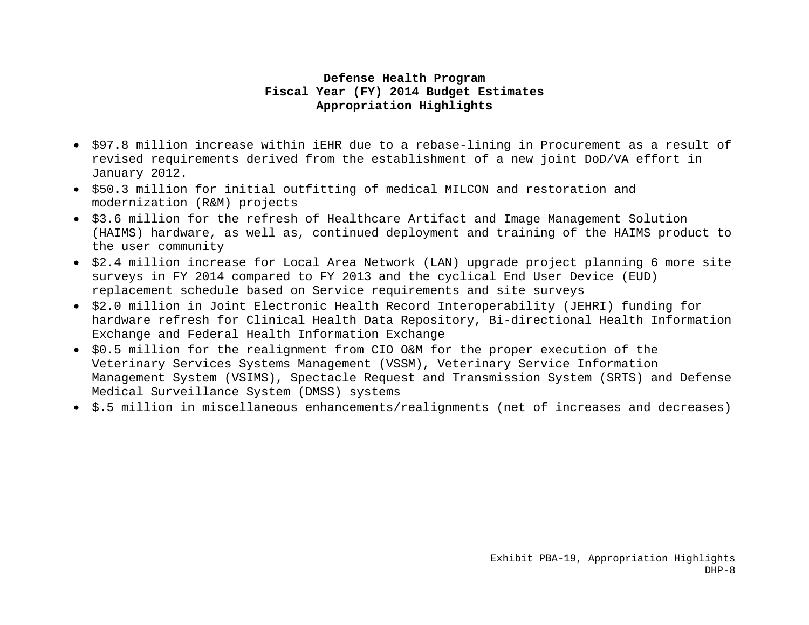- \$97.8 million increase within iEHR due to a rebase-lining in Procurement as a result of revised requirements derived from the establishment of a new joint DoD/VA effort in January 2012.
- \$50.3 million for initial outfitting of medical MILCON and restoration and modernization (R&M) projects
- \$3.6 million for the refresh of Healthcare Artifact and Image Management Solution (HAIMS) hardware, as well as, continued deployment and training of the HAIMS product to the user community
- $\bullet$  \$2.4 million increase for Local Area Network (LAN) upgrade project planning 6 more site surveys in FY 2014 compared to FY 2013 and the cyclical End User Device (EUD) replacement schedule based on Service requirements and site surveys
- \$2.0 million in Joint Electronic Health Record Interoperability (JEHRI) funding for hardware refresh for Clinical Health Data Repository, Bi-directional Health Information Exchange and Federal Health Information Exchange
- \$0.5 million for the realignment from CIO O&M for the proper execution of the Veterinary Services Systems Management (VSSM), Veterinary Service Information Management System (VSIMS), Spectacle Request and Transmission System (SRTS) and Defense Medical Surveillance System (DMSS) systems
- \$.5 million in miscellaneous enhancements/realignments (net of increases and decreases)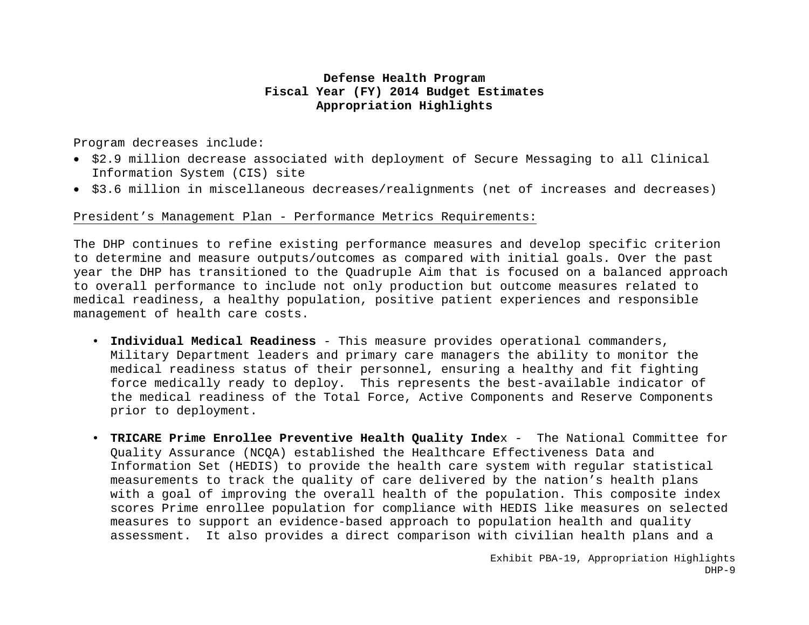Program decreases include:

- \$2.9 million decrease associated with deployment of Secure Messaging to all Clinical Information System (CIS) site
- $\bullet$  \$3.6 million in miscellaneous decreases/realignments (net of increases and decreases)

#### President's Management Plan - Performance Metrics Requirements:

The DHP continues to refine existing performance measures and develop specific criterion to determine and measure outputs/outcomes as compared with initial goals. Over the past year the DHP has transitioned to the Quadruple Aim that is focused on a balanced approach to overall performance to include not only production but outcome measures related to medical readiness, a healthy population, positive patient experiences and responsible management of health care costs.

- **Individual Medical Readiness** This measure provides operational commanders, Military Department leaders and primary care managers the ability to monitor the medical readiness status of their personnel, ensuring a healthy and fit fighting force medically ready to deploy. This represents the best-available indicator of the medical readiness of the Total Force, Active Components and Reserve Components prior to deployment.
- **TRICARE Prime Enrollee Preventive Health Quality Inde**x The National Committee for Quality Assurance (NCQA) established the Healthcare Effectiveness Data and Information Set (HEDIS) to provide the health care system with regular statistical measurements to track the quality of care delivered by the nation's health plans with a goal of improving the overall health of the population. This composite index scores Prime enrollee population for compliance with HEDIS like measures on selected measures to support an evidence-based approach to population health and quality assessment. It also provides a direct comparison with civilian health plans and a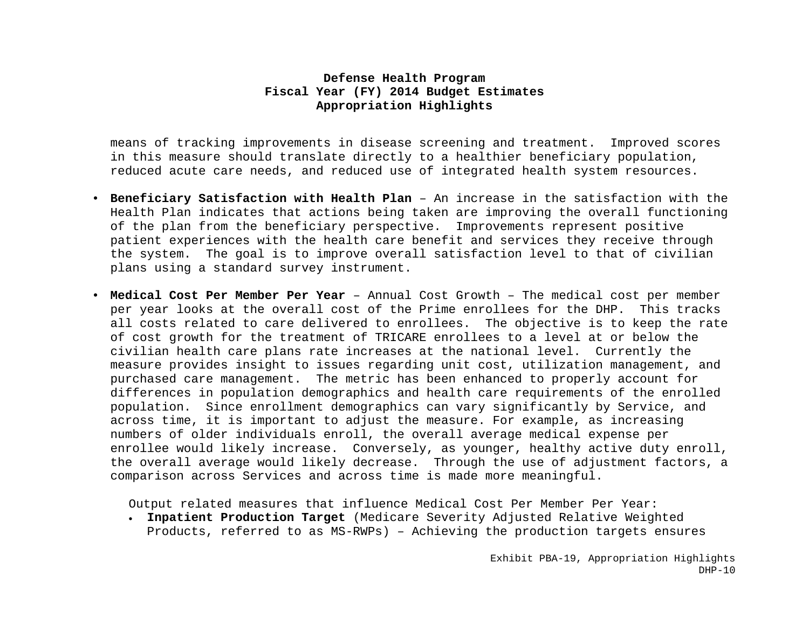means of tracking improvements in disease screening and treatment. Improved scores in this measure should translate directly to a healthier beneficiary population, reduced acute care needs, and reduced use of integrated health system resources.

- **Beneficiary Satisfaction with Health Plan** An increase in the satisfaction with the Health Plan indicates that actions being taken are improving the overall functioning of the plan from the beneficiary perspective. Improvements represent positive patient experiences with the health care benefit and services they receive through the system. The goal is to improve overall satisfaction level to that of civilian plans using a standard survey instrument.
- **Medical Cost Per Member Per Year** Annual Cost Growth The medical cost per member per year looks at the overall cost of the Prime enrollees for the DHP. This tracks all costs related to care delivered to enrollees. The objective is to keep the rate of cost growth for the treatment of TRICARE enrollees to a level at or below the civilian health care plans rate increases at the national level. Currently the measure provides insight to issues regarding unit cost, utilization management, and purchased care management. The metric has been enhanced to properly account for differences in population demographics and health care requirements of the enrolled population. Since enrollment demographics can vary significantly by Service, and across time, it is important to adjust the measure. For example, as increasing numbers of older individuals enroll, the overall average medical expense per enrollee would likely increase. Conversely, as younger, healthy active duty enroll, the overall average would likely decrease. Through the use of adjustment factors, a comparison across Services and across time is made more meaningful.

Output related measures that influence Medical Cost Per Member Per Year:

 **Inpatient Production Target** (Medicare Severity Adjusted Relative Weighted Products, referred to as MS-RWPs) – Achieving the production targets ensures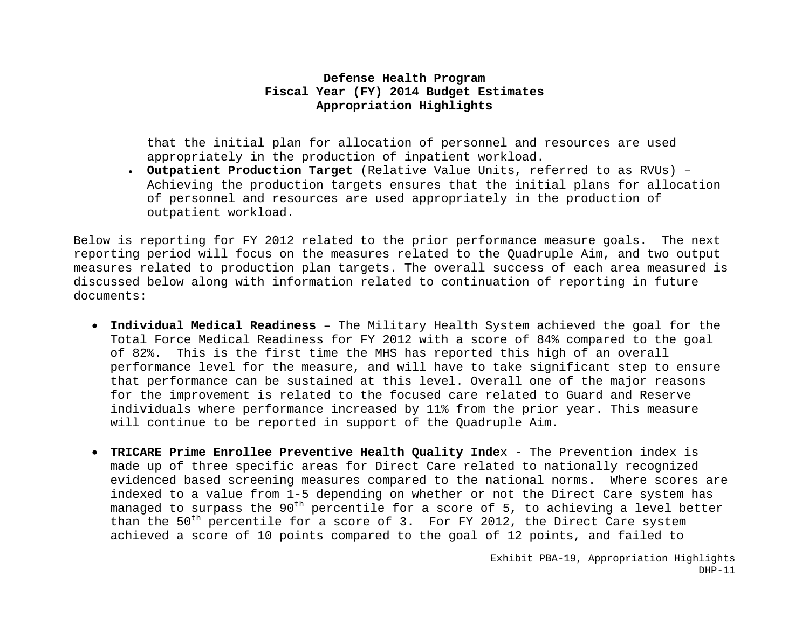that the initial plan for allocation of personnel and resources are used appropriately in the production of inpatient workload.

 **Outpatient Production Target** (Relative Value Units, referred to as RVUs) – Achieving the production targets ensures that the initial plans for allocation of personnel and resources are used appropriately in the production of outpatient workload.

Below is reporting for FY 2012 related to the prior performance measure goals. The next reporting period will focus on the measures related to the Quadruple Aim, and two output measures related to production plan targets. The overall success of each area measured is discussed below along with information related to continuation of reporting in future documents:

- **Individual Medical Readiness** The Military Health System achieved the goal for the Total Force Medical Readiness for FY 2012 with a score of 84% compared to the goal of 82%. This is the first time the MHS has reported this high of an overall performance level for the measure, and will have to take significant step to ensure that performance can be sustained at this level. Overall one of the major reasons for the improvement is related to the focused care related to Guard and Reserve individuals where performance increased by 11% from the prior year. This measure will continue to be reported in support of the Quadruple Aim.
- **TRICARE Prime Enrollee Preventive Health Quality Inde**x The Prevention index is made up of three specific areas for Direct Care related to nationally recognized evidenced based screening measures compared to the national norms. Where scores are indexed to a value from 1-5 depending on whether or not the Direct Care system has managed to surpass the 90<sup>th</sup> percentile for a score of 5, to achieving a level better than the  $50^{th}$  percentile for a score of 3. For FY 2012, the Direct Care system achieved a score of 10 points compared to the goal of 12 points, and failed to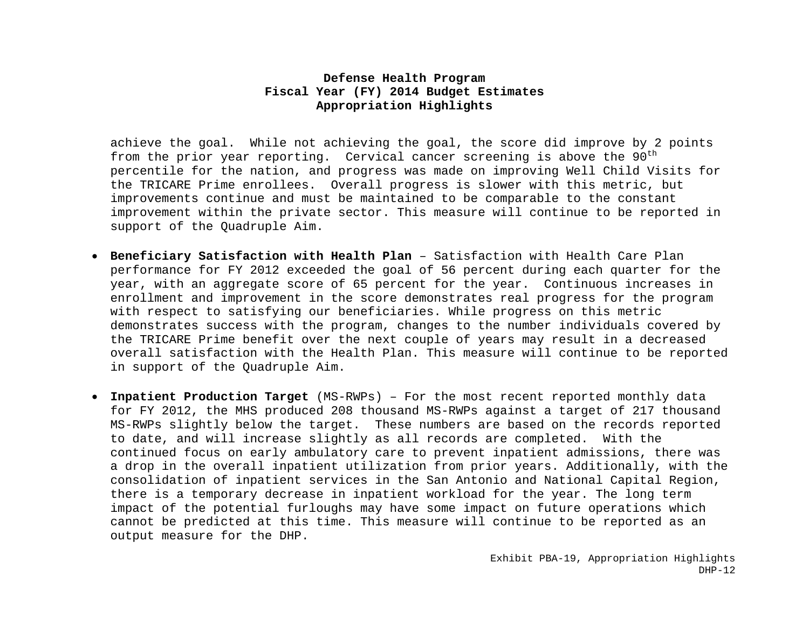achieve the goal. While not achieving the goal, the score did improve by 2 points from the prior year reporting. Cervical cancer screening is above the  $90<sup>th</sup>$ percentile for the nation, and progress was made on improving Well Child Visits for the TRICARE Prime enrollees. Overall progress is slower with this metric, but improvements continue and must be maintained to be comparable to the constant improvement within the private sector. This measure will continue to be reported in support of the Quadruple Aim.

- **Beneficiary Satisfaction with Health Plan** Satisfaction with Health Care Plan performance for FY 2012 exceeded the goal of 56 percent during each quarter for the year, with an aggregate score of 65 percent for the year. Continuous increases in enrollment and improvement in the score demonstrates real progress for the program with respect to satisfying our beneficiaries. While progress on this metric demonstrates success with the program, changes to the number individuals covered by the TRICARE Prime benefit over the next couple of years may result in a decreased overall satisfaction with the Health Plan. This measure will continue to be reported in support of the Quadruple Aim.
- **Inpatient Production Target** (MS-RWPs) For the most recent reported monthly data for FY 2012, the MHS produced 208 thousand MS-RWPs against a target of 217 thousand MS-RWPs slightly below the target. These numbers are based on the records reported to date, and will increase slightly as all records are completed. With the continued focus on early ambulatory care to prevent inpatient admissions, there was a drop in the overall inpatient utilization from prior years. Additionally, with the consolidation of inpatient services in the San Antonio and National Capital Region, there is a temporary decrease in inpatient workload for the year. The long term impact of the potential furloughs may have some impact on future operations which cannot be predicted at this time. This measure will continue to be reported as an output measure for the DHP.